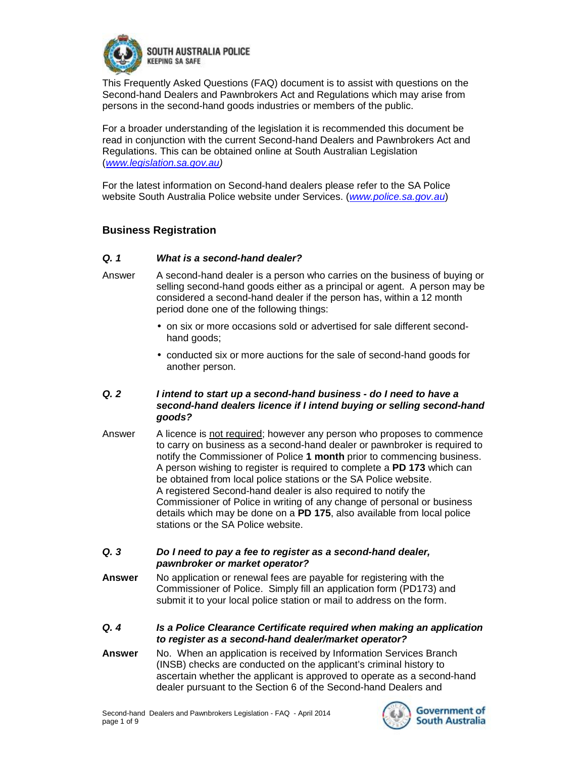

This Frequently Asked Questions (FAQ) document is to assist with questions on the Second-hand Dealers and Pawnbrokers Act and Regulations which may arise from persons in the second-hand goods industries or members of the public.

For a broader understanding of the legislation it is recommended this document be read in conjunction with the current Second-hand Dealers and Pawnbrokers Act and Regulations. This can be obtained online at South Australian Legislation (*[www.legislation.sa.gov.au](http://www.legislation.sa.gov.au))* 

For the latest information on Second-hand dealers please refer to the SA Police website South Australia Police website under Services. (*[www.police.sa.gov.au](http://www.police.sa.gov.au)*)

# **Business Registration**

#### *Q. 1 What is a second-hand dealer?*

- Answer A second-hand dealer is a person who carries on the business of buying or selling second-hand goods either as a principal or agent. A person may be considered a second-hand dealer if the person has, within a 12 month period done one of the following things:
	- on six or more occasions sold or advertised for sale different secondhand goods;
	- conducted six or more auctions for the sale of second-hand goods for another person.

# *Q. 2 I intend to start up a second-hand business - do I need to have a second-hand dealers licence if I intend buying or selling second-hand goods?*

Answer A licence is not required; however any person who proposes to commence to carry on business as a second-hand dealer or pawnbroker is required to notify the Commissioner of Police **1 month** prior to commencing business. A person wishing to register is required to complete a **PD 173** which can be obtained from local police stations or the SA Police website. A registered Second-hand dealer is also required to notify the Commissioner of Police in writing of any change of personal or business details which may be done on a **PD 175**, also available from local police stations or the SA Police website.

#### *Q. 3 Do I need to pay a fee to register as a second-hand dealer, pawnbroker or market operator?*

- **Answer** No application or renewal fees are payable for registering with the Commissioner of Police. Simply fill an application form (PD173) and submit it to your local police station or mail to address on the form.
- *Q. 4 Is a Police Clearance Certificate required when making an application to register as a second-hand dealer/market operator?*
- **Answer** No. When an application is received by Information Services Branch (INSB) checks are conducted on the applicant's criminal history to ascertain whether the applicant is approved to operate as a second-hand dealer pursuant to the Section 6 of the Second-hand Dealers and

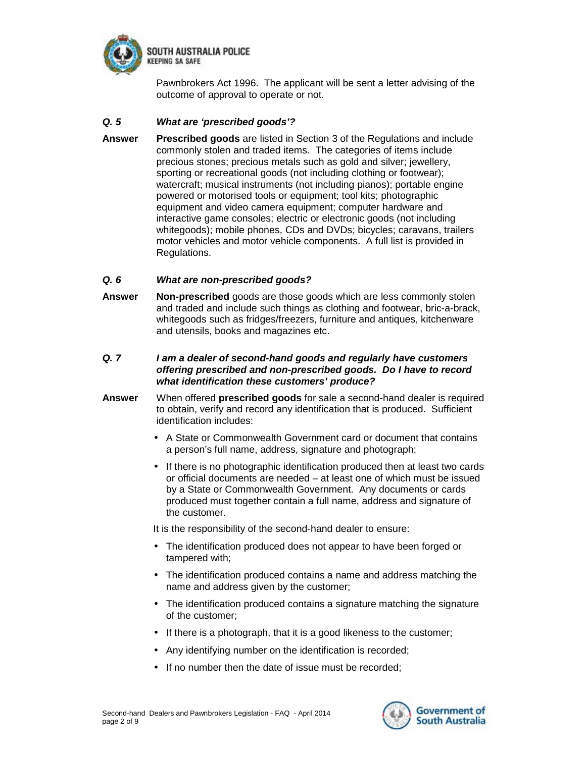

Pawnbrokers Act 1996. The applicant will be sent a letter advising of the outcome of approval to operate or not.

# *Q. 5 What are 'prescribed goods'?*

**Answer Prescribed goods** are listed in Section 3 of the Regulations and include commonly stolen and traded items. The categories of items include precious stones; precious metals such as gold and silver; jewellery, sporting or recreational goods (not including clothing or footwear); watercraft; musical instruments (not including pianos); portable engine powered or motorised tools or equipment; tool kits; photographic equipment and video camera equipment; computer hardware and interactive game consoles; electric or electronic goods (not including whitegoods); mobile phones, CDs and DVDs; bicycles; caravans, trailers motor vehicles and motor vehicle components. A full list is provided in Regulations.

# *Q. 6 What are non-prescribed goods?*

**Answer Non-prescribed** goods are those goods which are less commonly stolen and traded and include such things as clothing and footwear, bric-a-brack, whitegoods such as fridges/freezers, furniture and antiques, kitchenware and utensils, books and magazines etc.

#### *Q. 7 I am a dealer of second-hand goods and regularly have customers offering prescribed and non-prescribed goods. Do I have to record what identification these customers' produce?*

- **Answer** When offered **prescribed goods** for sale a second-hand dealer is required to obtain, verify and record any identification that is produced. Sufficient identification includes:
	- A State or Commonwealth Government card or document that contains a person's full name, address, signature and photograph;
	- If there is no photographic identification produced then at least two cards or official documents are needed – at least one of which must be issued by a State or Commonwealth Government. Any documents or cards produced must together contain a full name, address and signature of the customer.

It is the responsibility of the second-hand dealer to ensure:

- The identification produced does not appear to have been forged or tampered with;
- The identification produced contains a name and address matching the name and address given by the customer;
- The identification produced contains a signature matching the signature of the customer;
- If there is a photograph, that it is a good likeness to the customer;
- Any identifying number on the identification is recorded;
- If no number then the date of issue must be recorded;

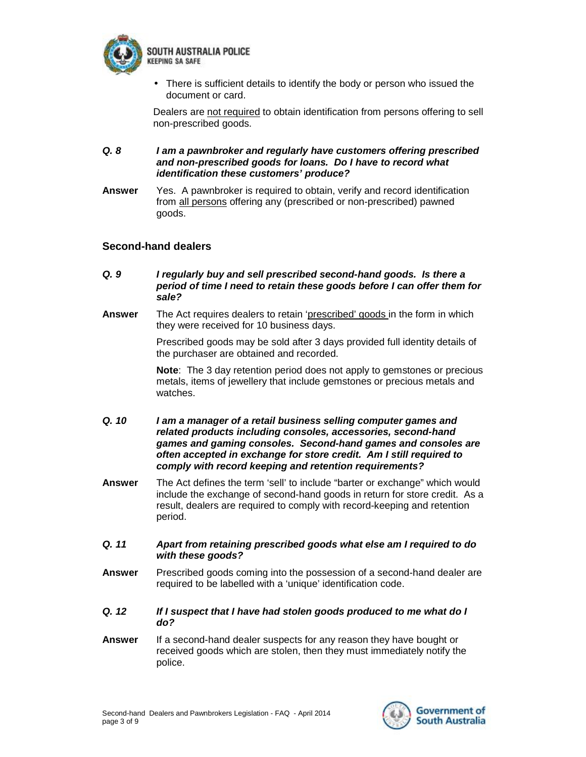

• There is sufficient details to identify the body or person who issued the document or card.

Dealers are not required to obtain identification from persons offering to sell non-prescribed goods.

*Q. 8 I am a pawnbroker and regularly have customers offering prescribed and non-prescribed goods for loans. Do I have to record what identification these customers' produce?* 

**Answer** Yes. A pawnbroker is required to obtain, verify and record identification from all persons offering any (prescribed or non-prescribed) pawned goods.

# **Second-hand dealers**

- *Q. 9 I regularly buy and sell prescribed second-hand goods. Is there a period of time I need to retain these goods before I can offer them for sale?*
- **Answer** The Act requires dealers to retain 'prescribed' goods in the form in which they were received for 10 business days.

Prescribed goods may be sold after 3 days provided full identity details of the purchaser are obtained and recorded.

**Note**: The 3 day retention period does not apply to gemstones or precious metals, items of jewellery that include gemstones or precious metals and watches.

- *Q. 10 I am a manager of a retail business selling computer games and related products including consoles, accessories, second-hand games and gaming consoles. Second-hand games and consoles are often accepted in exchange for store credit. Am I still required to comply with record keeping and retention requirements?*
- **Answer** The Act defines the term 'sell' to include "barter or exchange" which would include the exchange of second-hand goods in return for store credit. As a result, dealers are required to comply with record-keeping and retention period.
- *Q. 11 Apart from retaining prescribed goods what else am I required to do with these goods?*
- **Answer** Prescribed goods coming into the possession of a second-hand dealer are required to be labelled with a 'unique' identification code.
- *Q. 12 If I suspect that I have had stolen goods produced to me what do I do?*
- **Answer** If a second-hand dealer suspects for any reason they have bought or received goods which are stolen, then they must immediately notify the police.

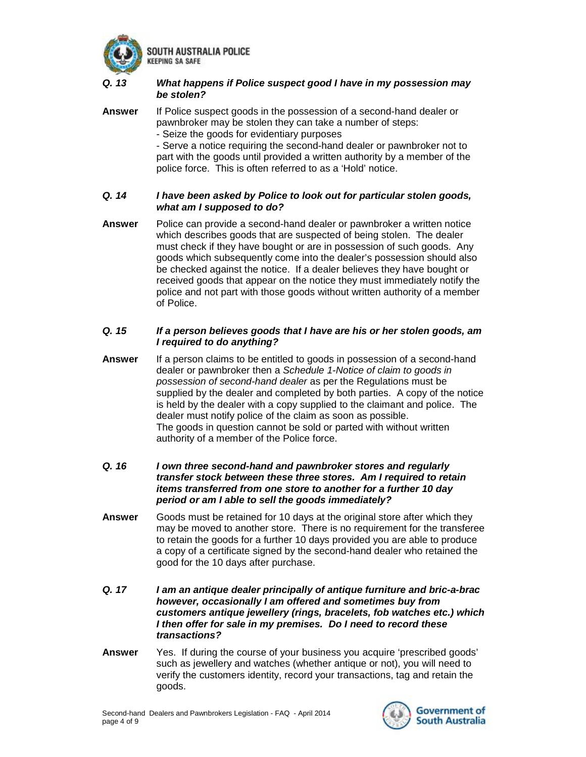

SOUTH AUSTRALIA POLICE *EEPING SA SAFE* 

# *Q. 13 What happens if Police suspect good I have in my possession may be stolen?*

**Answer** If Police suspect goods in the possession of a second-hand dealer or pawnbroker may be stolen they can take a number of steps: - Seize the goods for evidentiary purposes - Serve a notice requiring the second-hand dealer or pawnbroker not to part with the goods until provided a written authority by a member of the police force. This is often referred to as a 'Hold' notice.

## *Q. 14 I have been asked by Police to look out for particular stolen goods, what am I supposed to do?*

**Answer** Police can provide a second-hand dealer or pawnbroker a written notice which describes goods that are suspected of being stolen. The dealer must check if they have bought or are in possession of such goods. Any goods which subsequently come into the dealer's possession should also be checked against the notice. If a dealer believes they have bought or received goods that appear on the notice they must immediately notify the police and not part with those goods without written authority of a member of Police.

### *Q. 15 If a person believes goods that I have are his or her stolen goods, am I required to do anything?*

- **Answer** If a person claims to be entitled to goods in possession of a second-hand dealer or pawnbroker then a *Schedule 1-Notice of claim to goods in possession of second-hand dealer* as per the Regulations must be supplied by the dealer and completed by both parties. A copy of the notice is held by the dealer with a copy supplied to the claimant and police. The dealer must notify police of the claim as soon as possible. The goods in question cannot be sold or parted with without written authority of a member of the Police force.
- *Q. 16 I own three second-hand and pawnbroker stores and regularly transfer stock between these three stores. Am I required to retain items transferred from one store to another for a further 10 day period or am I able to sell the goods immediately?*
- **Answer** Goods must be retained for 10 days at the original store after which they may be moved to another store. There is no requirement for the transferee to retain the goods for a further 10 days provided you are able to produce a copy of a certificate signed by the second-hand dealer who retained the good for the 10 days after purchase.
- *Q. 17 I am an antique dealer principally of antique furniture and bric-a-brac however, occasionally I am offered and sometimes buy from customers antique jewellery (rings, bracelets, fob watches etc.) which I then offer for sale in my premises. Do I need to record these transactions?*
- **Answer** Yes. If during the course of your business you acquire 'prescribed goods' such as jewellery and watches (whether antique or not), you will need to verify the customers identity, record your transactions, tag and retain the goods.

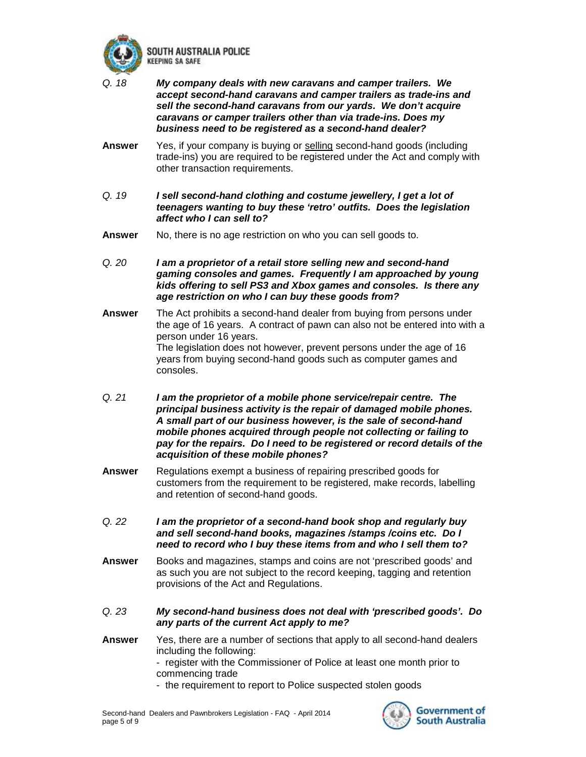

SOUTH AUSTRALIA POLICE **CEEPING SA SAFE** 

- *Q. 18 My company deals with new caravans and camper trailers. We accept second-hand caravans and camper trailers as trade-ins and sell the second-hand caravans from our yards. We don't acquire caravans or camper trailers other than via trade-ins. Does my business need to be registered as a second-hand dealer?*
- **Answer** Yes, if your company is buying or selling second-hand goods (including trade-ins) you are required to be registered under the Act and comply with other transaction requirements.
- *Q. 19 I sell second-hand clothing and costume jewellery, I get a lot of teenagers wanting to buy these 'retro' outfits. Does the legislation affect who I can sell to?*
- **Answer** No, there is no age restriction on who you can sell goods to.
- *Q. 20 I am a proprietor of a retail store selling new and second-hand gaming consoles and games. Frequently I am approached by young kids offering to sell PS3 and Xbox games and consoles. Is there any age restriction on who I can buy these goods from?*
- **Answer** The Act prohibits a second-hand dealer from buying from persons under the age of 16 years. A contract of pawn can also not be entered into with a person under 16 years. The legislation does not however, prevent persons under the age of 16 years from buying second-hand goods such as computer games and consoles.
- *Q. 21 I am the proprietor of a mobile phone service/repair centre. The principal business activity is the repair of damaged mobile phones. A small part of our business however, is the sale of second-hand mobile phones acquired through people not collecting or failing to pay for the repairs. Do I need to be registered or record details of the acquisition of these mobile phones?*
- **Answer** Regulations exempt a business of repairing prescribed goods for customers from the requirement to be registered, make records, labelling and retention of second-hand goods.
- *Q. 22 I am the proprietor of a second-hand book shop and regularly buy and sell second-hand books, magazines /stamps /coins etc. Do I need to record who I buy these items from and who I sell them to?*
- **Answer** Books and magazines, stamps and coins are not 'prescribed goods' and as such you are not subject to the record keeping, tagging and retention provisions of the Act and Regulations.
- *Q. 23 My second-hand business does not deal with 'prescribed goods'. Do any parts of the current Act apply to me?*
- **Answer** Yes, there are a number of sections that apply to all second-hand dealers including the following: - register with the Commissioner of Police at least one month prior to
	- commencing trade
	- the requirement to report to Police suspected stolen goods

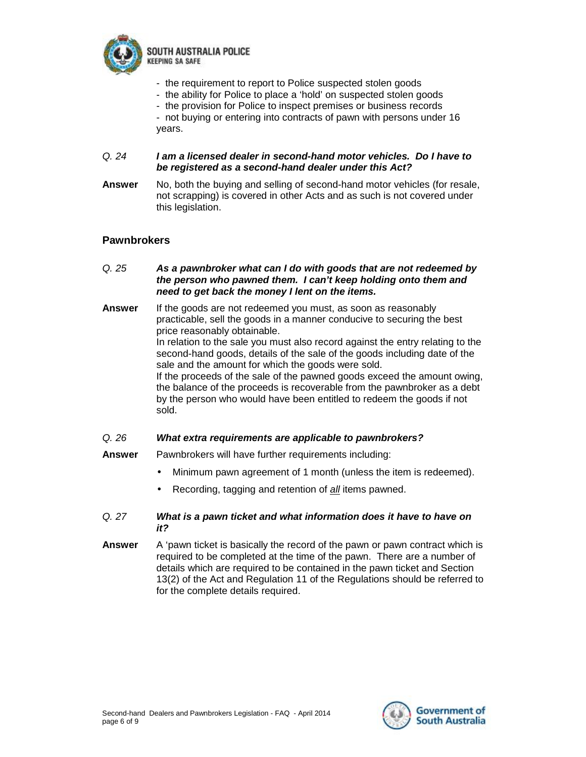

SOUTH AUSTRALIA POLICE *CEEPING SA SAFE* 

- the requirement to report to Police suspected stolen goods
- the ability for Police to place a 'hold' on suspected stolen goods
- the provision for Police to inspect premises or business records
- not buying or entering into contracts of pawn with persons under 16 years.

#### *Q. 24 I am a licensed dealer in second-hand motor vehicles. Do I have to be registered as a second-hand dealer under this Act?*

**Answer** No, both the buying and selling of second-hand motor vehicles (for resale, not scrapping) is covered in other Acts and as such is not covered under this legislation.

# **Pawnbrokers**

- *Q. 25 As a pawnbroker what can I do with goods that are not redeemed by the person who pawned them. I can't keep holding onto them and need to get back the money I lent on the items.*
- **Answer** If the goods are not redeemed you must, as soon as reasonably practicable, sell the goods in a manner conducive to securing the best price reasonably obtainable. In relation to the sale you must also record against the entry relating to the second-hand goods, details of the sale of the goods including date of the sale and the amount for which the goods were sold. If the proceeds of the sale of the pawned goods exceed the amount owing, the balance of the proceeds is recoverable from the pawnbroker as a debt by the person who would have been entitled to redeem the goods if not sold.

#### *Q. 26 What extra requirements are applicable to pawnbrokers?*

- **Answer** Pawnbrokers will have further requirements including:
	- Minimum pawn agreement of 1 month (unless the item is redeemed).
	- Recording, tagging and retention of *all* items pawned.

#### *Q. 27 What is a pawn ticket and what information does it have to have on it?*

**Answer** A 'pawn ticket is basically the record of the pawn or pawn contract which is required to be completed at the time of the pawn. There are a number of details which are required to be contained in the pawn ticket and Section 13(2) of the Act and Regulation 11 of the Regulations should be referred to for the complete details required.

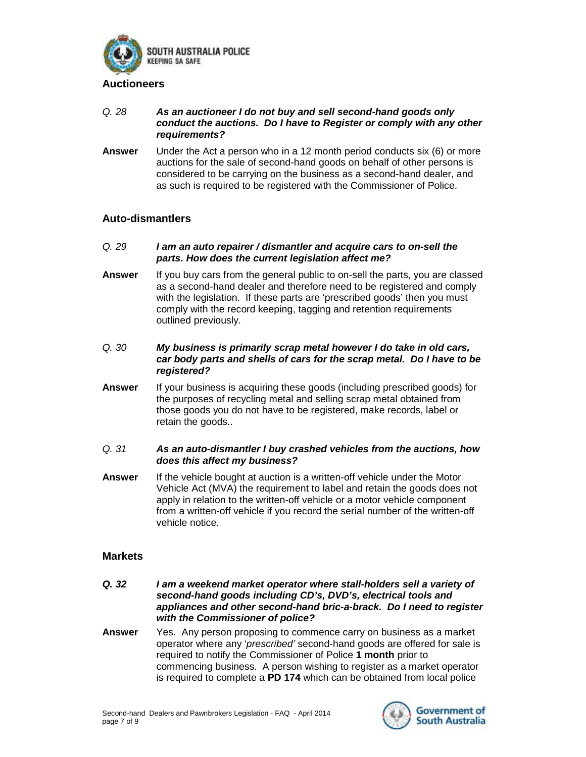

#### **Auctioneers**

- *Q. 28 As an auctioneer I do not buy and sell second-hand goods only conduct the auctions. Do I have to Register or comply with any other requirements?*
- **Answer** Under the Act a person who in a 12 month period conducts six (6) or more auctions for the sale of second-hand goods on behalf of other persons is considered to be carrying on the business as a second-hand dealer, and as such is required to be registered with the Commissioner of Police.

# **Auto-dismantlers**

- *Q. 29 I am an auto repairer / dismantler and acquire cars to on-sell the parts. How does the current legislation affect me?*
- **Answer** If you buy cars from the general public to on-sell the parts, you are classed as a second-hand dealer and therefore need to be registered and comply with the legislation. If these parts are 'prescribed goods' then you must comply with the record keeping, tagging and retention requirements outlined previously.
- *Q. 30 My business is primarily scrap metal however I do take in old cars, car body parts and shells of cars for the scrap metal. Do I have to be registered?*
- **Answer** If your business is acquiring these goods (including prescribed goods) for the purposes of recycling metal and selling scrap metal obtained from those goods you do not have to be registered, make records, label or retain the goods..
- *Q. 31 As an auto-dismantler I buy crashed vehicles from the auctions, how does this affect my business?*
- **Answer** If the vehicle bought at auction is a written-off vehicle under the Motor Vehicle Act (MVA) the requirement to label and retain the goods does not apply in relation to the written-off vehicle or a motor vehicle component from a written-off vehicle if you record the serial number of the written-off vehicle notice.

#### **Markets**

- *Q. 32 I am a weekend market operator where stall-holders sell a variety of second-hand goods including CD's, DVD's, electrical tools and appliances and other second-hand bric-a-brack. Do I need to register with the Commissioner of police?*
- **Answer** Yes. Any person proposing to commence carry on business as a market operator where any '*prescribed'* second-hand goods are offered for sale is required to notify the Commissioner of Police **1 month** prior to commencing business. A person wishing to register as a market operator is required to complete a **PD 174** which can be obtained from local police

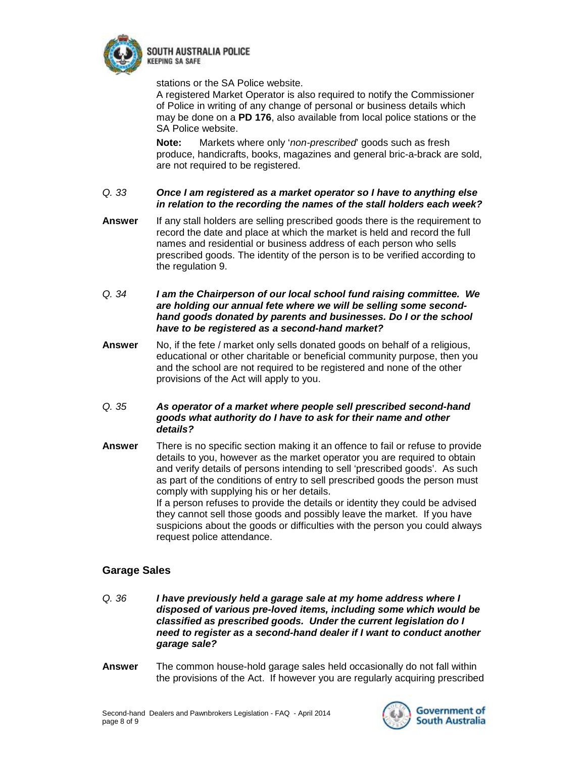

**EEPING SA SAFE** 

stations or the SA Police website.

A registered Market Operator is also required to notify the Commissioner of Police in writing of any change of personal or business details which may be done on a **PD 176**, also available from local police stations or the SA Police website.

**Note:** Markets where only '*non-prescribed*' goods such as fresh produce, handicrafts, books, magazines and general bric-a-brack are sold, are not required to be registered.

# *Q. 33 Once I am registered as a market operator so I have to anything else in relation to the recording the names of the stall holders each week?*

- **Answer** If any stall holders are selling prescribed goods there is the requirement to record the date and place at which the market is held and record the full names and residential or business address of each person who sells prescribed goods. The identity of the person is to be verified according to the regulation 9.
- *Q. 34 I am the Chairperson of our local school fund raising committee. We are holding our annual fete where we will be selling some secondhand goods donated by parents and businesses. Do I or the school have to be registered as a second-hand market?*
- **Answer** No, if the fete / market only sells donated goods on behalf of a religious, educational or other charitable or beneficial community purpose, then you and the school are not required to be registered and none of the other provisions of the Act will apply to you.
- *Q. 35 As operator of a market where people sell prescribed second-hand goods what authority do I have to ask for their name and other details?*
- **Answer** There is no specific section making it an offence to fail or refuse to provide details to you, however as the market operator you are required to obtain and verify details of persons intending to sell 'prescribed goods'. As such as part of the conditions of entry to sell prescribed goods the person must comply with supplying his or her details. If a person refuses to provide the details or identity they could be advised they cannot sell those goods and possibly leave the market. If you have suspicions about the goods or difficulties with the person you could always request police attendance.

# **Garage Sales**

- *Q. 36 I have previously held a garage sale at my home address where I disposed of various pre-loved items, including some which would be classified as prescribed goods. Under the current legislation do I need to register as a second-hand dealer if I want to conduct another garage sale?*
- **Answer** The common house-hold garage sales held occasionally do not fall within the provisions of the Act. If however you are regularly acquiring prescribed